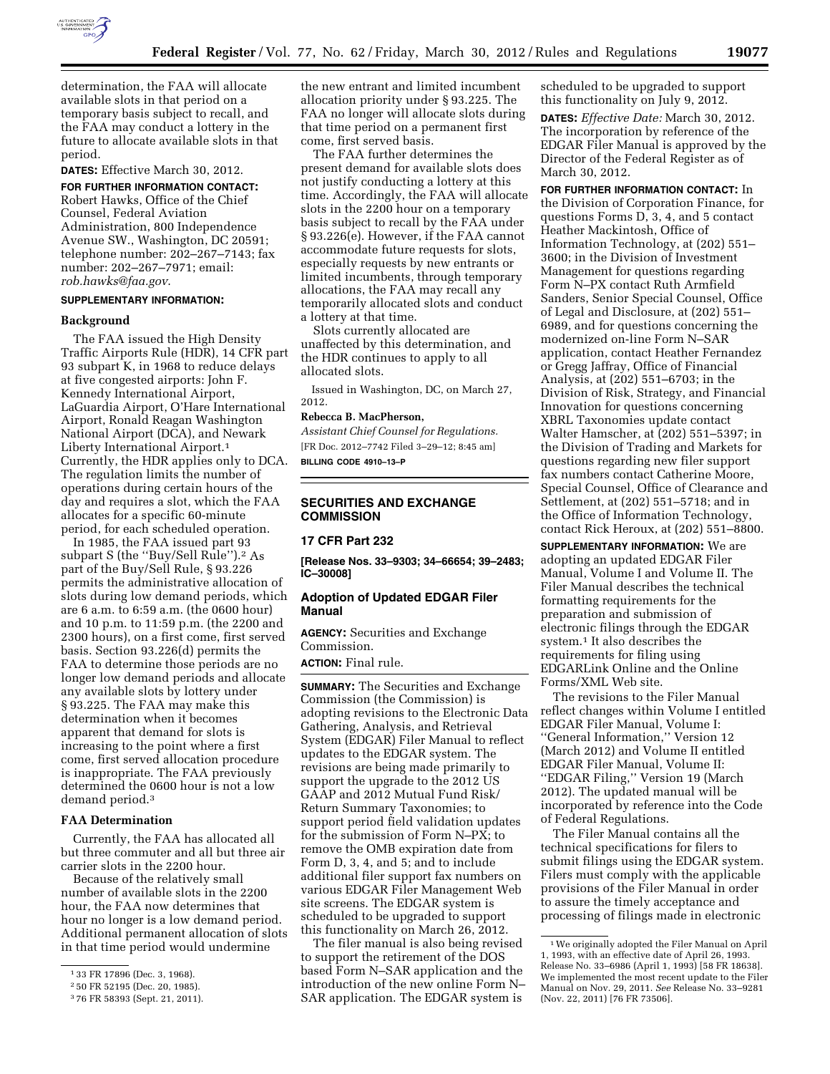

determination, the FAA will allocate available slots in that period on a temporary basis subject to recall, and the FAA may conduct a lottery in the future to allocate available slots in that period.

**DATES:** Effective March 30, 2012.

**FOR FURTHER INFORMATION CONTACT:** 

Robert Hawks, Office of the Chief Counsel, Federal Aviation Administration, 800 Independence Avenue SW., Washington, DC 20591; telephone number: 202–267–7143; fax number: 202–267–7971; email: *[rob.hawks@faa.gov](mailto:rob.hawks@faa.gov)*.

## **SUPPLEMENTARY INFORMATION:**

#### **Background**

The FAA issued the High Density Traffic Airports Rule (HDR), 14 CFR part 93 subpart K, in 1968 to reduce delays at five congested airports: John F. Kennedy International Airport, LaGuardia Airport, O'Hare International Airport, Ronald Reagan Washington National Airport (DCA), and Newark Liberty International Airport.1 Currently, the HDR applies only to DCA. The regulation limits the number of operations during certain hours of the day and requires a slot, which the FAA allocates for a specific 60-minute period, for each scheduled operation.

In 1985, the FAA issued part 93 subpart S (the "Buy/Sell Rule").<sup>2</sup> As part of the Buy/Sell Rule, § 93.226 permits the administrative allocation of slots during low demand periods, which are 6 a.m. to 6:59 a.m. (the 0600 hour) and 10 p.m. to 11:59 p.m. (the 2200 and 2300 hours), on a first come, first served basis. Section 93.226(d) permits the FAA to determine those periods are no longer low demand periods and allocate any available slots by lottery under § 93.225. The FAA may make this determination when it becomes apparent that demand for slots is increasing to the point where a first come, first served allocation procedure is inappropriate. The FAA previously determined the 0600 hour is not a low demand period.3

# **FAA Determination**

Currently, the FAA has allocated all but three commuter and all but three air carrier slots in the 2200 hour.

Because of the relatively small number of available slots in the 2200 hour, the FAA now determines that hour no longer is a low demand period. Additional permanent allocation of slots in that time period would undermine

the new entrant and limited incumbent allocation priority under § 93.225. The FAA no longer will allocate slots during that time period on a permanent first come, first served basis.

The FAA further determines the present demand for available slots does not justify conducting a lottery at this time. Accordingly, the FAA will allocate slots in the 2200 hour on a temporary basis subject to recall by the FAA under § 93.226(e). However, if the FAA cannot accommodate future requests for slots, especially requests by new entrants or limited incumbents, through temporary allocations, the FAA may recall any temporarily allocated slots and conduct a lottery at that time.

Slots currently allocated are unaffected by this determination, and the HDR continues to apply to all allocated slots.

Issued in Washington, DC, on March 27, 2012.

# **Rebecca B. MacPherson,**

*Assistant Chief Counsel for Regulations.*  [FR Doc. 2012–7742 Filed 3–29–12; 8:45 am] **BILLING CODE 4910–13–P** 

#### **SECURITIES AND EXCHANGE COMMISSION**

# **17 CFR Part 232**

**[Release Nos. 33–9303; 34–66654; 39–2483; IC–30008]** 

#### **Adoption of Updated EDGAR Filer Manual**

**AGENCY:** Securities and Exchange Commission.

**ACTION:** Final rule.

**SUMMARY:** The Securities and Exchange Commission (the Commission) is adopting revisions to the Electronic Data Gathering, Analysis, and Retrieval System (EDGAR) Filer Manual to reflect updates to the EDGAR system. The revisions are being made primarily to support the upgrade to the 2012 US GAAP and 2012 Mutual Fund Risk/ Return Summary Taxonomies; to support period field validation updates for the submission of Form N–PX; to remove the OMB expiration date from Form D, 3, 4, and 5; and to include additional filer support fax numbers on various EDGAR Filer Management Web site screens. The EDGAR system is scheduled to be upgraded to support this functionality on March 26, 2012.

The filer manual is also being revised to support the retirement of the DOS based Form N–SAR application and the introduction of the new online Form N– SAR application. The EDGAR system is

scheduled to be upgraded to support this functionality on July 9, 2012.

**DATES:** *Effective Date:* March 30, 2012. The incorporation by reference of the EDGAR Filer Manual is approved by the Director of the Federal Register as of March 30, 2012.

**FOR FURTHER INFORMATION CONTACT:** In the Division of Corporation Finance, for questions Forms D, 3, 4, and 5 contact Heather Mackintosh, Office of Information Technology, at (202) 551– 3600; in the Division of Investment Management for questions regarding Form N–PX contact Ruth Armfield Sanders, Senior Special Counsel, Office of Legal and Disclosure, at (202) 551– 6989, and for questions concerning the modernized on-line Form N–SAR application, contact Heather Fernandez or Gregg Jaffray, Office of Financial Analysis, at (202) 551–6703; in the Division of Risk, Strategy, and Financial Innovation for questions concerning XBRL Taxonomies update contact Walter Hamscher, at (202) 551–5397; in the Division of Trading and Markets for questions regarding new filer support fax numbers contact Catherine Moore, Special Counsel, Office of Clearance and Settlement, at (202) 551–5718; and in the Office of Information Technology, contact Rick Heroux, at (202) 551–8800.

**SUPPLEMENTARY INFORMATION:** We are adopting an updated EDGAR Filer Manual, Volume I and Volume II. The Filer Manual describes the technical formatting requirements for the preparation and submission of electronic filings through the EDGAR system.1 It also describes the requirements for filing using EDGARLink Online and the Online Forms/XML Web site.

The revisions to the Filer Manual reflect changes within Volume I entitled EDGAR Filer Manual, Volume I: ''General Information,'' Version 12 (March 2012) and Volume II entitled EDGAR Filer Manual, Volume II: ''EDGAR Filing,'' Version 19 (March 2012). The updated manual will be incorporated by reference into the Code of Federal Regulations.

The Filer Manual contains all the technical specifications for filers to submit filings using the EDGAR system. Filers must comply with the applicable provisions of the Filer Manual in order to assure the timely acceptance and processing of filings made in electronic

<sup>1</sup> 33 FR 17896 (Dec. 3, 1968).

<sup>2</sup> 50 FR 52195 (Dec. 20, 1985).

<sup>3</sup> 76 FR 58393 (Sept. 21, 2011).

<sup>1</sup>We originally adopted the Filer Manual on April 1, 1993, with an effective date of April 26, 1993. Release No. 33–6986 (April 1, 1993) [58 FR 18638]. We implemented the most recent update to the Filer Manual on Nov. 29, 2011. *See* Release No. 33–9281 (Nov. 22, 2011) [76 FR 73506].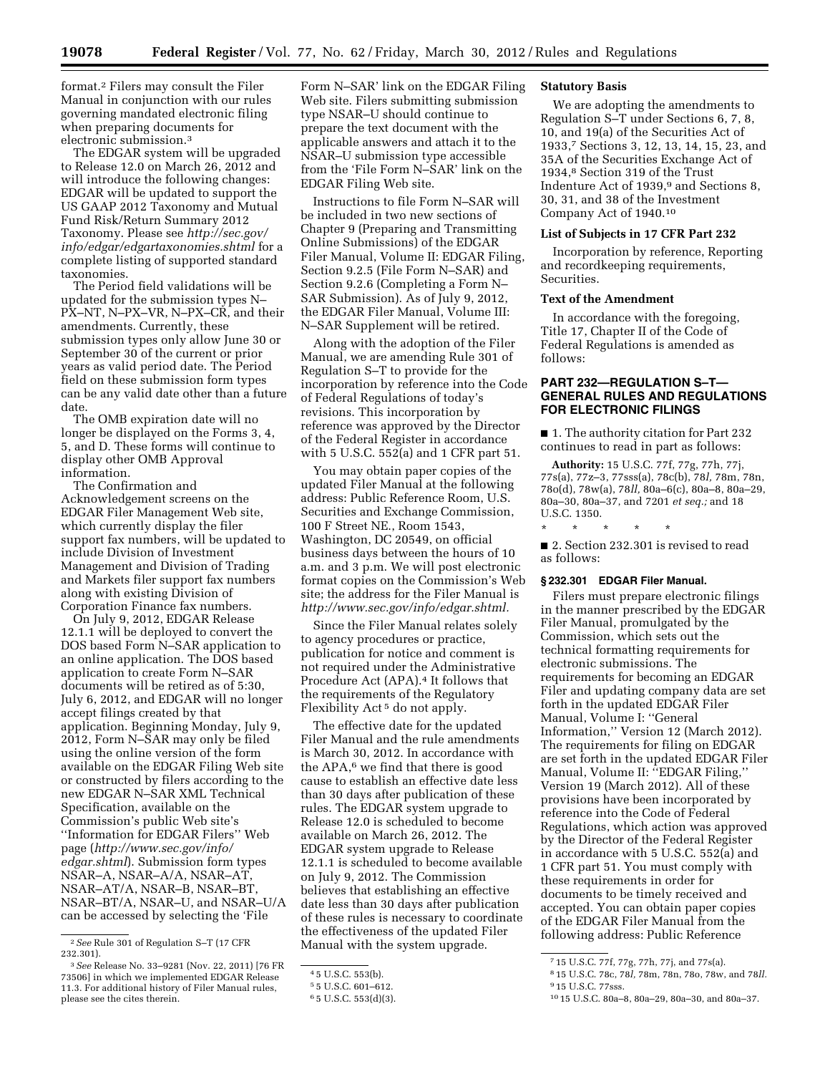format.2 Filers may consult the Filer Manual in conjunction with our rules governing mandated electronic filing when preparing documents for electronic submission.3

The EDGAR system will be upgraded to Release 12.0 on March 26, 2012 and will introduce the following changes: EDGAR will be updated to support the US GAAP 2012 Taxonomy and Mutual Fund Risk/Return Summary 2012 Taxonomy. Please see *[http://sec.gov/](http://sec.gov/info/edgar/edgartaxonomies.shtml)  [info/edgar/edgartaxonomies.shtml](http://sec.gov/info/edgar/edgartaxonomies.shtml)* for a complete listing of supported standard taxonomies.

The Period field validations will be updated for the submission types N– PX–NT, N–PX–VR, N–PX–CR, and their amendments. Currently, these submission types only allow June 30 or September 30 of the current or prior years as valid period date. The Period field on these submission form types can be any valid date other than a future date.

The OMB expiration date will no longer be displayed on the Forms 3, 4, 5, and D. These forms will continue to display other OMB Approval information.

The Confirmation and Acknowledgement screens on the EDGAR Filer Management Web site, which currently display the filer support fax numbers, will be updated to include Division of Investment Management and Division of Trading and Markets filer support fax numbers along with existing Division of Corporation Finance fax numbers.

On July 9, 2012, EDGAR Release 12.1.1 will be deployed to convert the DOS based Form N–SAR application to an online application. The DOS based application to create Form N–SAR documents will be retired as of 5:30, July 6, 2012, and EDGAR will no longer accept filings created by that application. Beginning Monday, July 9, 2012, Form N–SAR may only be filed using the online version of the form available on the EDGAR Filing Web site or constructed by filers according to the new EDGAR N–SAR XML Technical Specification, available on the Commission's public Web site's ''Information for EDGAR Filers'' Web page (*[http://www.sec.gov/info/](http://www.sec.gov/info/edgar.shtml)  [edgar.shtml](http://www.sec.gov/info/edgar.shtml)*). Submission form types NSAR–A, NSAR–A/A, NSAR–AT, NSAR–AT/A, NSAR–B, NSAR–BT, NSAR–BT/A, NSAR–U, and NSAR–U/A can be accessed by selecting the 'File

Form N–SAR' link on the EDGAR Filing Web site. Filers submitting submission type NSAR–U should continue to prepare the text document with the applicable answers and attach it to the NSAR–U submission type accessible from the 'File Form N–SAR' link on the EDGAR Filing Web site.

Instructions to file Form N–SAR will be included in two new sections of Chapter 9 (Preparing and Transmitting Online Submissions) of the EDGAR Filer Manual, Volume II: EDGAR Filing, Section 9.2.5 (File Form N–SAR) and Section 9.2.6 (Completing a Form N– SAR Submission). As of July 9, 2012, the EDGAR Filer Manual, Volume III: N–SAR Supplement will be retired.

Along with the adoption of the Filer Manual, we are amending Rule 301 of Regulation S–T to provide for the incorporation by reference into the Code of Federal Regulations of today's revisions. This incorporation by reference was approved by the Director of the Federal Register in accordance with 5 U.S.C. 552(a) and 1 CFR part 51.

You may obtain paper copies of the updated Filer Manual at the following address: Public Reference Room, U.S. Securities and Exchange Commission, 100 F Street NE., Room 1543, Washington, DC 20549, on official business days between the hours of 10 a.m. and 3 p.m. We will post electronic format copies on the Commission's Web site; the address for the Filer Manual is *[http://www.sec.gov/info/edgar.shtml.](http://www.sec.gov/info/edgar.shtml)* 

Since the Filer Manual relates solely to agency procedures or practice, publication for notice and comment is not required under the Administrative Procedure Act (APA).<sup>4</sup> It follows that the requirements of the Regulatory Flexibility Act<sup>5</sup> do not apply.

The effective date for the updated Filer Manual and the rule amendments is March 30, 2012. In accordance with the  $APA$ ,<sup>6</sup> we find that there is good cause to establish an effective date less than 30 days after publication of these rules. The EDGAR system upgrade to Release 12.0 is scheduled to become available on March 26, 2012. The EDGAR system upgrade to Release 12.1.1 is scheduled to become available on July 9, 2012. The Commission believes that establishing an effective date less than 30 days after publication of these rules is necessary to coordinate the effectiveness of the updated Filer Manual with the system upgrade.

#### **Statutory Basis**

We are adopting the amendments to Regulation S–T under Sections 6, 7, 8, 10, and 19(a) of the Securities Act of 1933,7 Sections 3, 12, 13, 14, 15, 23, and 35A of the Securities Exchange Act of 1934,8 Section 319 of the Trust Indenture Act of 1939,9 and Sections 8, 30, 31, and 38 of the Investment Company Act of 1940.10

### **List of Subjects in 17 CFR Part 232**

Incorporation by reference, Reporting and recordkeeping requirements, Securities.

# **Text of the Amendment**

In accordance with the foregoing, Title 17, Chapter II of the Code of Federal Regulations is amended as follows:

# **PART 232—REGULATION S–T— GENERAL RULES AND REGULATIONS FOR ELECTRONIC FILINGS**

■ 1. The authority citation for Part 232 continues to read in part as follows:

**Authority:** 15 U.S.C. 77f, 77g, 77h, 77j, 77s(a), 77z–3, 77sss(a), 78c(b), 78*l,* 78m, 78n, 78o(d), 78w(a), 78*ll,* 80a–6(c), 80a–8, 80a–29, 80a–30, 80a–37, and 7201 *et seq.;* and 18 U.S.C. 1350.

\* \* \* \* \*

■ 2. Section 232.301 is revised to read as follows:

# **§ 232.301 EDGAR Filer Manual.**

Filers must prepare electronic filings in the manner prescribed by the EDGAR Filer Manual, promulgated by the Commission, which sets out the technical formatting requirements for electronic submissions. The requirements for becoming an EDGAR Filer and updating company data are set forth in the updated EDGAR Filer Manual, Volume I: ''General Information,'' Version 12 (March 2012). The requirements for filing on EDGAR are set forth in the updated EDGAR Filer Manual, Volume II: ''EDGAR Filing,'' Version 19 (March 2012). All of these provisions have been incorporated by reference into the Code of Federal Regulations, which action was approved by the Director of the Federal Register in accordance with 5 U.S.C. 552(a) and 1 CFR part 51. You must comply with these requirements in order for documents to be timely received and accepted. You can obtain paper copies of the EDGAR Filer Manual from the following address: Public Reference

<sup>2</sup>*See* Rule 301 of Regulation S–T (17 CFR 232.301).

<sup>3</sup>*See* Release No. 33–9281 (Nov. 22, 2011) [76 FR 73506] in which we implemented EDGAR Release 11.3. For additional history of Filer Manual rules, please see the cites therein.

<sup>4</sup> 5 U.S.C. 553(b).

<sup>5</sup> 5 U.S.C. 601–612.

<sup>6</sup> 5 U.S.C. 553(d)(3).

<sup>7</sup> 15 U.S.C. 77f, 77g, 77h, 77j, and 77s(a).

<sup>8</sup> 15 U.S.C. 78c, 78*l,* 78m, 78n, 78o, 78w, and 78*ll.*  9 15 U.S.C. 77sss.

<sup>10</sup> 15 U.S.C. 80a–8, 80a–29, 80a–30, and 80a–37.